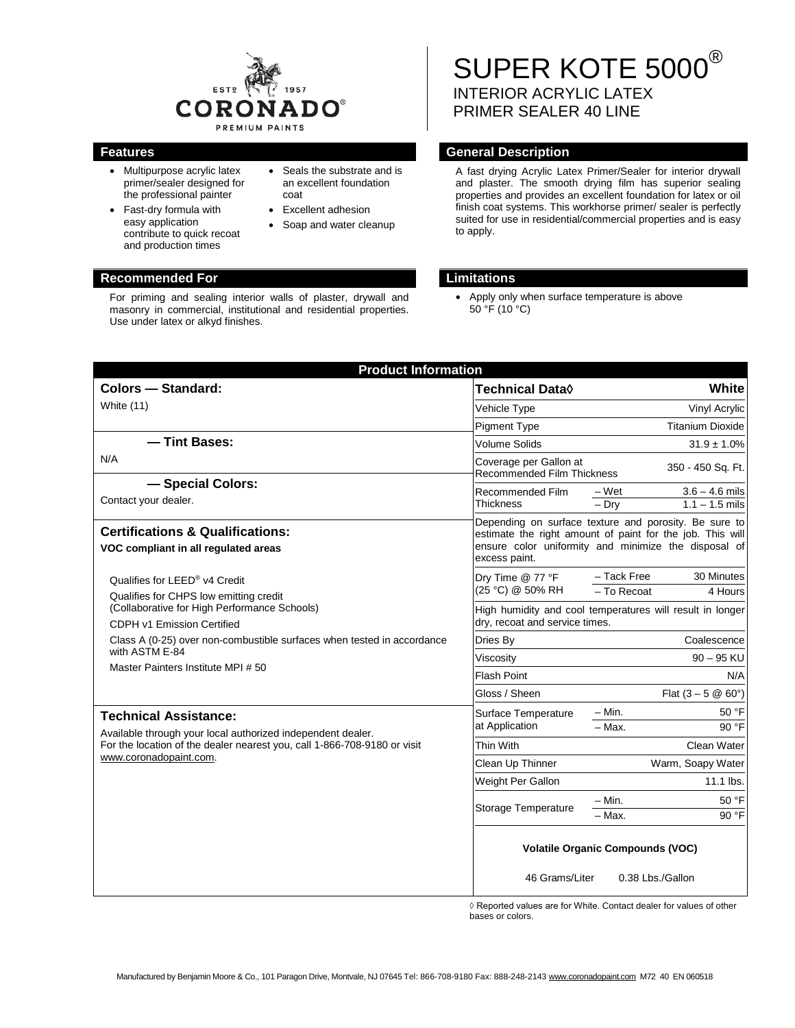

- Multipurpose acrylic latex primer/sealer designed for the professional painter
- Fast-dry formula with easy application contribute to quick recoat and production times
- Seals the substrate and is an excellent foundation coat
- Excellent adhesion
- Soap and water cleanup

### **Recommended For Limitations**

For priming and sealing interior walls of plaster, drywall and masonry in commercial, institutional and residential properties. Use under latex or alkyd finishes.

# SUPER KOTE 5000<sup>®</sup> INTERIOR ACRYLIC LATEX PRIMER SEALER 40 LINE

### **Features General Description**

A fast drying Acrylic Latex Primer/Sealer for interior drywall and plaster. The smooth drying film has superior sealing properties and provides an excellent foundation for latex or oil finish coat systems. This workhorse primer/ sealer is perfectly suited for use in residential/commercial properties and is easy to apply.

• Apply only when surface temperature is above  $50^{\circ}$ F (10 $^{\circ}$ C)

| <b>Product Information</b>                                                                                                                                                                        |                                                                                                                                                                                             |                                                          |
|---------------------------------------------------------------------------------------------------------------------------------------------------------------------------------------------------|---------------------------------------------------------------------------------------------------------------------------------------------------------------------------------------------|----------------------------------------------------------|
| <b>Colors - Standard:</b>                                                                                                                                                                         | Technical Data <sup>0</sup>                                                                                                                                                                 | White                                                    |
| White (11)                                                                                                                                                                                        | Vehicle Type                                                                                                                                                                                | Vinyl Acrylic                                            |
|                                                                                                                                                                                                   | <b>Pigment Type</b>                                                                                                                                                                         | <b>Titanium Dioxide</b>                                  |
| - Tint Bases:                                                                                                                                                                                     | <b>Volume Solids</b>                                                                                                                                                                        | $31.9 \pm 1.0\%$                                         |
| N/A                                                                                                                                                                                               | Coverage per Gallon at<br>350 - 450 Sq. Ft.<br><b>Recommended Film Thickness</b>                                                                                                            |                                                          |
| - Special Colors:<br>Contact your dealer.                                                                                                                                                         | Recommended Film<br><b>Thickness</b>                                                                                                                                                        | $3.6 - 4.6$ mils<br>– Wet<br>$-$ Dry<br>$1.1 - 1.5$ mils |
| <b>Certifications &amp; Qualifications:</b><br>VOC compliant in all regulated areas                                                                                                               | Depending on surface texture and porosity. Be sure to<br>estimate the right amount of paint for the job. This will<br>ensure color uniformity and minimize the disposal of<br>excess paint. |                                                          |
| Qualifies for LEED® v4 Credit<br>Qualifies for CHPS low emitting credit<br>(Collaborative for High Performance Schools)<br>CDPH v1 Emission Certified                                             | Dry Time @ 77 °F<br>(25 °C) @ 50% RH                                                                                                                                                        | - Tack Free<br>30 Minutes<br>- To Recoat<br>4 Hours      |
|                                                                                                                                                                                                   | High humidity and cool temperatures will result in longer<br>dry, recoat and service times.                                                                                                 |                                                          |
| Class A (0-25) over non-combustible surfaces when tested in accordance<br>with ASTM E-84<br>Master Painters Institute MPI # 50                                                                    | Dries By                                                                                                                                                                                    | Coalescence                                              |
|                                                                                                                                                                                                   | Viscosity                                                                                                                                                                                   | $90 - 95$ KU                                             |
|                                                                                                                                                                                                   | <b>Flash Point</b>                                                                                                                                                                          | N/A                                                      |
|                                                                                                                                                                                                   | Gloss / Sheen                                                                                                                                                                               | Flat $(3 - 5 @ 60^{\circ})$                              |
| <b>Technical Assistance:</b><br>Available through your local authorized independent dealer.<br>For the location of the dealer nearest you, call 1-866-708-9180 or visit<br>www.coronadopaint.com. | Surface Temperature<br>at Application                                                                                                                                                       | $- Min.$<br>50 °F<br>$-$ Max.<br>90 °F                   |
|                                                                                                                                                                                                   | Thin With                                                                                                                                                                                   | Clean Water                                              |
|                                                                                                                                                                                                   | Clean Up Thinner                                                                                                                                                                            | Warm, Soapy Water                                        |
|                                                                                                                                                                                                   | Weight Per Gallon                                                                                                                                                                           | 11.1 lbs.                                                |
|                                                                                                                                                                                                   | <b>Storage Temperature</b>                                                                                                                                                                  | 50 °F<br>$- Min.$<br>$-$ Max.<br>90 °F                   |
|                                                                                                                                                                                                   | <b>Volatile Organic Compounds (VOC)</b><br>46 Grams/Liter<br>0.38 Lbs./Gallon                                                                                                               |                                                          |

 $\Diamond$  Reported values are for White. Contact dealer for values of other bases or colors.